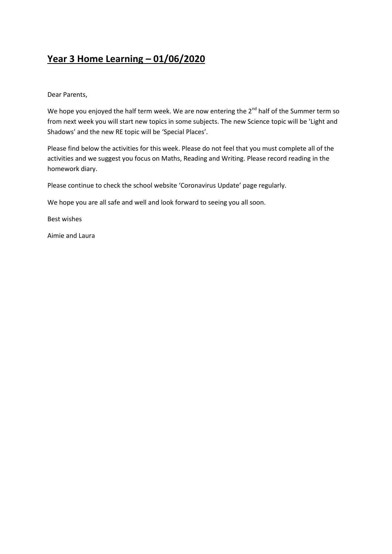## **Year 3 Home Learning – 01/06/2020**

Dear Parents,

We hope you enjoyed the half term week. We are now entering the 2<sup>nd</sup> half of the Summer term so from next week you will start new topics in some subjects. The new Science topic will be 'Light and Shadows' and the new RE topic will be 'Special Places'.

Please find below the activities for this week. Please do not feel that you must complete all of the activities and we suggest you focus on Maths, Reading and Writing. Please record reading in the homework diary.

Please continue to check the school website 'Coronavirus Update' page regularly.

We hope you are all safe and well and look forward to seeing you all soon.

Best wishes

Aimie and Laura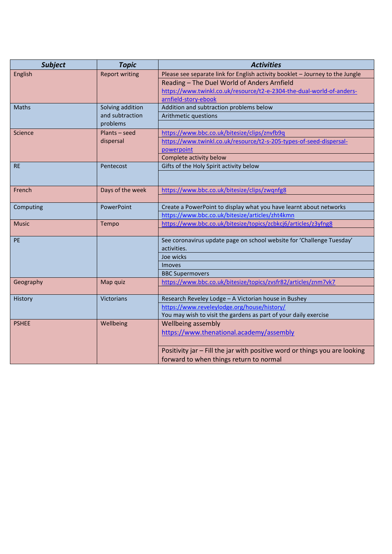| <b>Subject</b>        | <b>Topic</b>                | <b>Activities</b>                                                                    |
|-----------------------|-----------------------------|--------------------------------------------------------------------------------------|
| English               | <b>Report writing</b>       | Please see separate link for English activity booklet - Journey to the Jungle        |
|                       |                             | Reading - The Duel World of Anders Arnfield                                          |
|                       |                             | https://www.twinkl.co.uk/resource/t2-e-2304-the-dual-world-of-anders-                |
|                       |                             | arnfield-story-ebook                                                                 |
| <b>Maths</b>          | Solving addition            | Addition and subtraction problems below                                              |
|                       | and subtraction<br>problems | Arithmetic questions                                                                 |
|                       |                             |                                                                                      |
| Science               | Plants – seed               | https://www.bbc.co.uk/bitesize/clips/znvfb9q                                         |
|                       | dispersal                   | https://www.twinkl.co.uk/resource/t2-s-205-types-of-seed-dispersal-                  |
|                       |                             | powerpoint                                                                           |
|                       |                             | Complete activity below                                                              |
| <b>RE</b>             | Pentecost                   | Gifts of the Holy Spirit activity below                                              |
|                       |                             |                                                                                      |
|                       |                             |                                                                                      |
| French                | Days of the week            | https://www.bbc.co.uk/bitesize/clips/zwqnfg8                                         |
|                       |                             |                                                                                      |
| Computing             | PowerPoint                  | Create a PowerPoint to display what you have learnt about networks                   |
|                       |                             | https://www.bbc.co.uk/bitesize/articles/zht4kmn                                      |
| <b>Music</b><br>Tempo |                             | https://www.bbc.co.uk/bitesize/topics/zcbkcj6/articles/z3yfng8                       |
|                       |                             |                                                                                      |
| PE                    |                             | See coronavirus update page on school website for 'Challenge Tuesday'<br>activities. |
|                       |                             | Joe wicks                                                                            |
|                       |                             | <b>Imoves</b>                                                                        |
|                       |                             | <b>BBC Supermovers</b>                                                               |
| Geography             | Map quiz                    | https://www.bbc.co.uk/bitesize/topics/zvsfr82/articles/znm7vk7                       |
|                       |                             |                                                                                      |
| History               | Victorians                  | Research Reveley Lodge - A Victorian house in Bushey                                 |
|                       |                             | https://www.reveleylodge.org/house/history/                                          |
|                       |                             | You may wish to visit the gardens as part of your daily exercise                     |
| <b>PSHEE</b>          | Wellbeing                   | Wellbeing assembly                                                                   |
|                       |                             | https://www.thenational.academy/assembly                                             |
|                       |                             |                                                                                      |
|                       |                             | Positivity jar - Fill the jar with positive word or things you are looking           |
|                       |                             | forward to when things return to normal                                              |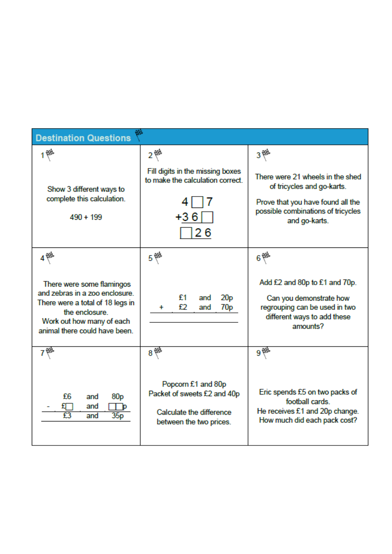| <b>Destination Questions</b>                                                                                                                                                    |                                                                                                                  |                                                                                                                                                                                 |  |  |
|---------------------------------------------------------------------------------------------------------------------------------------------------------------------------------|------------------------------------------------------------------------------------------------------------------|---------------------------------------------------------------------------------------------------------------------------------------------------------------------------------|--|--|
| Show 3 different ways to<br>complete this calculation.<br>$490 + 199$                                                                                                           | 2 @<br>Fill digits in the missing boxes<br>to make the calculation correct.<br>+36<br>26                         | $3^{\frac{1}{5}}$<br>There were 21 wheels in the shed<br>of tricycles and go-karts.<br>Prove that you have found all the<br>possible combinations of tricycles<br>and go-karts. |  |  |
| There were some flamingos<br>and zebras in a zoo enclosure.<br>There were a total of 18 legs in<br>the enclosure.<br>Work out how many of each<br>animal there could have been. | 5 德<br>£1<br>20 <sub>p</sub><br>and<br>£2<br>70 <sub>p</sub><br>and<br>÷                                         | $6$ <sup>(2)</sup><br>Add £2 and 80p to £1 and 70p.<br>Can you demonstrate how<br>regrouping can be used in two<br>different ways to add these<br>amounts?                      |  |  |
| £6<br>80 <sub>p</sub><br>and<br>and<br>35p<br>and                                                                                                                               | $8*$<br>Popcorn £1 and 80p<br>Packet of sweets £2 and 40p<br>Calculate the difference<br>between the two prices. | 9 12<br>Eric spends £5 on two packs of<br>football cards.<br>He receives £1 and 20p change.<br>How much did each pack cost?                                                     |  |  |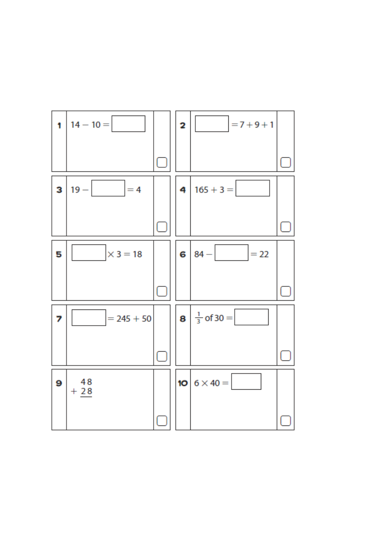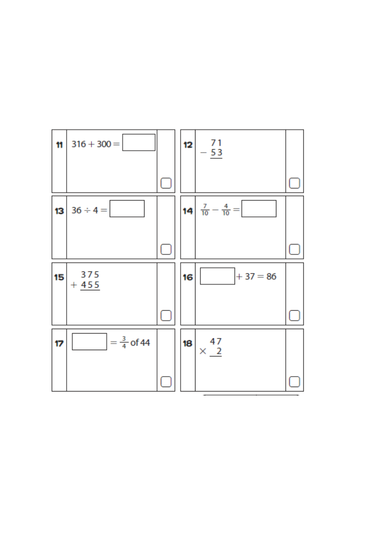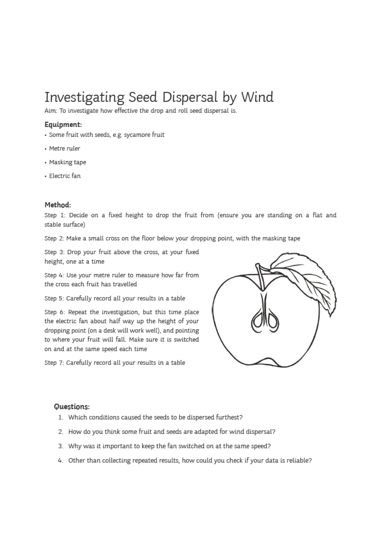# Investigating Seed Dispersal by Wind

Aim: To investigate how effective the drop and roll seed dispersal is.

#### Equipment:

- · Some fruit with seeds, e.g. sycamore fruit
- · Metre ruler
- Masking tape
- · Electric fan

#### Method:

Step 1: Decide on a fixed height to drop the fruit from (ensure you are standing on a flat and stable surface)

Step 2: Make a small cross on the floor below your dropping point, with the masking tape

Step 3: Drop your fruit above the cross, at your fixed height, one at a time

Step 4: Use your metre ruler to measure how far from the cross each fruit has travelled

Step 5: Carefully record all your results in a table

Step 6: Repeat the investigation, but this time place the electric fan about half way up the height of your dropping point (on a desk will work well), and pointing to where your fruit will fall. Make sure it is switched on and at the same speed each time

Step 7: Carefully record all your results in a table



### Questions:

- 1. Which conditions caused the seeds to be dispersed furthest?
- 2. How do you think some fruit and seeds are adapted for wind dispersal?
- 3. Why was it important to keep the fan switched on at the same speed?
- 4. Other than collecting repeated results, how could you check if your data is reliable?